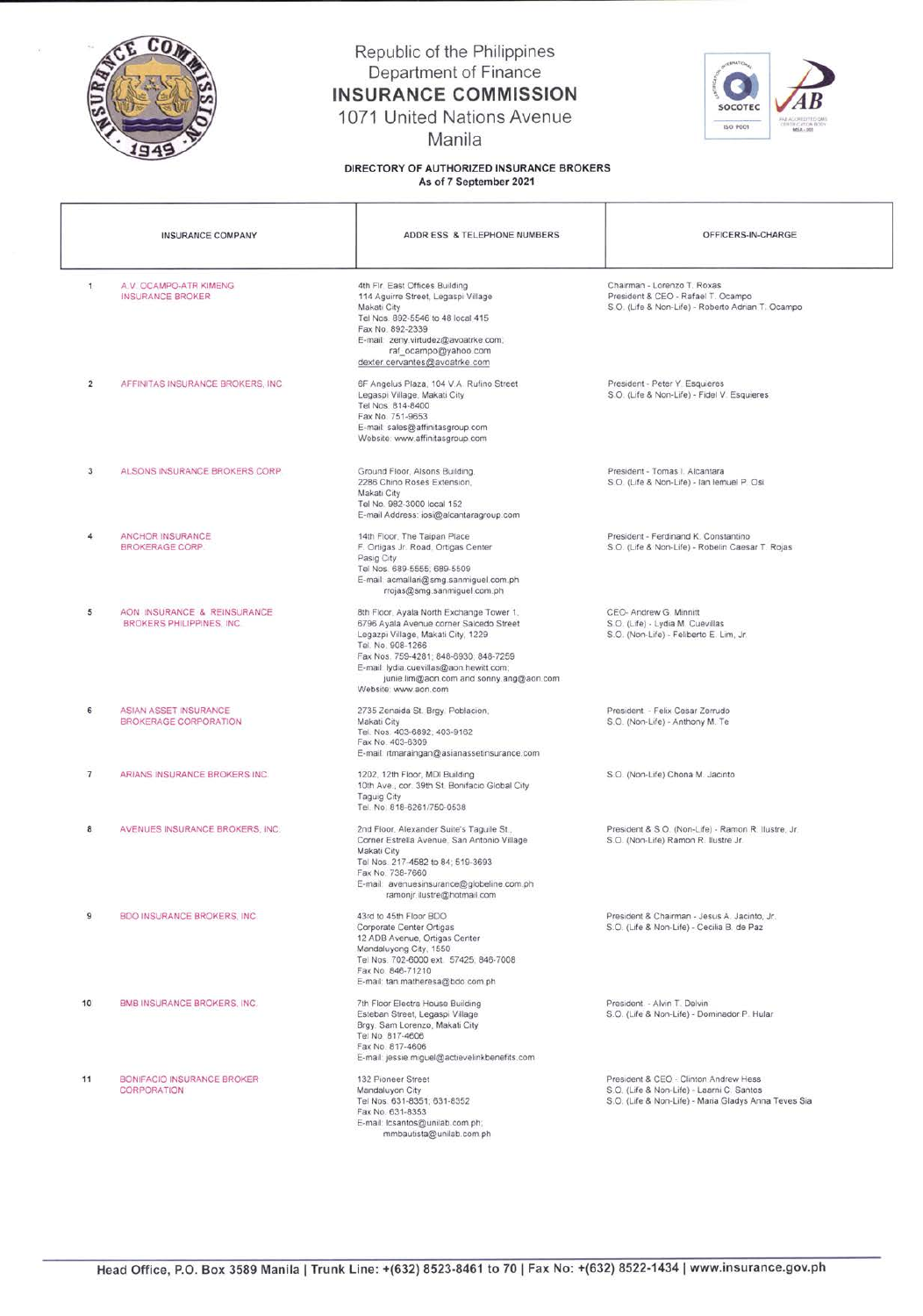

## Republic of the Philippines Department of Finance INSURANCE COMMISSION

1071 United Nations Avenue

Manila

DIRECTORY OF AUTHORIZED INSURANCE BROKERS As of 7 September 2021



| <b>INSURANCE COMPANY</b> |                                                                 | ADDR ESS & TELEPHONE NUMBERS                                                                                                                                                                                                                                                                           | OFFICERS-IN-CHARGE                                                                                                                         |
|--------------------------|-----------------------------------------------------------------|--------------------------------------------------------------------------------------------------------------------------------------------------------------------------------------------------------------------------------------------------------------------------------------------------------|--------------------------------------------------------------------------------------------------------------------------------------------|
| $\mathbf{1}$             | A.V. OCAMPO-ATR KIMENG<br><b>INSURANCE BROKER</b>               | 4th Fir. East Offices Building<br>114 Aguirre Street, Legaspi Village<br>Makati City<br>Tel Nos. 892-5546 to 48 local 415<br>Fax No. 892-2339<br>E-mail: zeny.virtudez@avoatrke.com;<br>raf_ocampo@yahoo.com<br>dexter.cervantes@avoatrke.com                                                          | Chairman - Lorenzo T. Roxas<br>President & CEO - Rafael T. Ocampo<br>S.O. (Life & Non-Life) - Roberto Adrian T. Ocampo                     |
| $\overline{2}$           | AFFINITAS INSURANCE BROKERS, INC.                               | 6F Angelus Plaza, 104 V.A. Rufino Street<br>Legaspi Village, Makati City<br>Tel Nos. 814-8400<br>Fax No. 751-9653<br>E-mail: sales@affinitasgroup.com<br>Website: www.affinitasgroup.com                                                                                                               | President - Peter Y. Esquieres<br>S.O. (Life & Non-Life) - Fidel V. Esquieres                                                              |
| 3                        | ALSONS INSURANCE BROKERS CORP                                   | Ground Floor, Alsons Building,<br>2286 Chino Roses Extension,<br>Makati City<br>Tel No. 982-3000 local 152<br>E-mail Address: iosi@alcantaragroup.com                                                                                                                                                  | President - Tomas I. Alcantara<br>S.O. (Life & Non-Life) - Ian lemuel P. Osi                                                               |
| 4                        | ANCHOR INSURANCE<br><b>BROKERAGE CORP.</b>                      | 14th Floor, The Taipan Place<br>F. Ortigas Jr. Road, Ortigas Center<br>Pasig City<br>Tel Nos. 689-5555; 689-5509<br>E-mail: acmallari@smg.sanmiguel.com.ph<br>rrojas@smg.sanmiguel.com.ph                                                                                                              | President - Ferdinand K. Constantino<br>S.O. (Life & Non-Life) - Robelin Caesar T. Rojas                                                   |
| 5                        | AON INSURANCE & REINSURANCE<br><b>BROKERS PHILIPPINES, INC.</b> | 8th Floor, Ayala North Exchange Tower 1,<br>6796 Ayala Avenue corner Salcedo Street<br>Legazpi Village, Makati City, 1229<br>Tel. No. 908-1266<br>Fax Nos. 759-4281; 848-6930; 848-7259<br>E-mail: lydia.cuevillas@aon.hewitt.com;<br>junie.lim@aon.com and sonny.ang@aon.com.<br>Website: www.aon.com | CEO- Andrew G. Minnitt<br>S.O. (Life) - Lydia M. Cuevillas<br>S.O. (Non-Life) - Feliberto E. Lim, Jr.                                      |
| 6                        | ASIAN ASSET INSURANCE<br>BROKERAGE CORPORATION                  | 2735 Zenaida St. Brgy. Poblacion,<br>Makati City<br>Tel. Nos. 403-6892; 403-9162<br>Fax No. 403-6309<br>E-mail: rtmaraingan@asianassetinsurance.com                                                                                                                                                    | President - Felix Cesar Zerrudo<br>S.O. (Non-Life) - Anthony M. Te                                                                         |
| $\overline{\phantom{a}}$ | ARIANS INSURANCE BROKERS INC.                                   | 1202, 12th Floor, MDI Building<br>10th Ave., cor. 39th St. Bonifacio Global City<br><b>Taguig City</b><br>Tel. No. 818-6261/750-0538                                                                                                                                                                   | S.O. (Non-Life) Chona M. Jacinto                                                                                                           |
| 8                        | AVENUES INSURANCE BROKERS, INC.                                 | 2nd Floor, Alexander Suite's Taguile St.,<br>Corner Estrella Avenue, San Antonio Village<br>Makati City<br>Tel Nos. 217-4582 to 84: 519-3693<br>Fax No. 738-7660<br>E-mail: avenuesinsurance@globeline.com.ph<br>ramonir.ilustre@hotmail.com                                                           | President & S.O. (Non-Life) - Ramon R. Ilustre, Jr.<br>S.O. (Non-Life) Ramon R. Ilustre Jr.                                                |
| $\overline{9}$           | <b>BDO INSURANCE BROKERS, INC.</b>                              | 43rd to 45th Floor BDO<br>Corporate Center Ortigas<br>12 ADB Avenue, Ortigas Center<br>Mandaluyong City, 1550<br>Tel Nos. 702-6000 ext. 57425: 846-7008<br>Fax No. 846-71210<br>E-mail: tan.matheresa@bdo.com.ph                                                                                       | President & Chairman - Jesus A. Jacinto, Jr.<br>S.O. (Life & Non-Life) - Cecilia B. de Paz                                                 |
| 10                       | BMB INSURANCE BROKERS, INC.                                     | 7th Floor Electra House Building<br>Esteban Street, Legaspi Village<br>Brgy. Sam Lorenzo, Makati City<br>Tel No. 817-4606<br>Fax No. 817-4606<br>E-mail: jessie.miguel@actievelinkbenefits.com                                                                                                         | President - Alvin T. Delvin<br>S.O. (Life & Non-Life) - Dominador P. Hular                                                                 |
| 11                       | BONIFACIO INSURANCE BROKER<br><b>CORPORATION</b>                | 132 Pioneer Street<br>Mandaluyon City<br>Tel Nos. 631-8351; 631-8352<br>Fax No. 631-8353<br>E-mail: Icsantos@unilab.com.ph;<br>mmbautista@unilab.com.ph                                                                                                                                                | President & CEO - Clinton Andrew Hess<br>S.O. (Life & Non-Life) - Laarni C. Santos<br>S.O. (Life & Non-Life) - Maria Gladys Anna Teves Sia |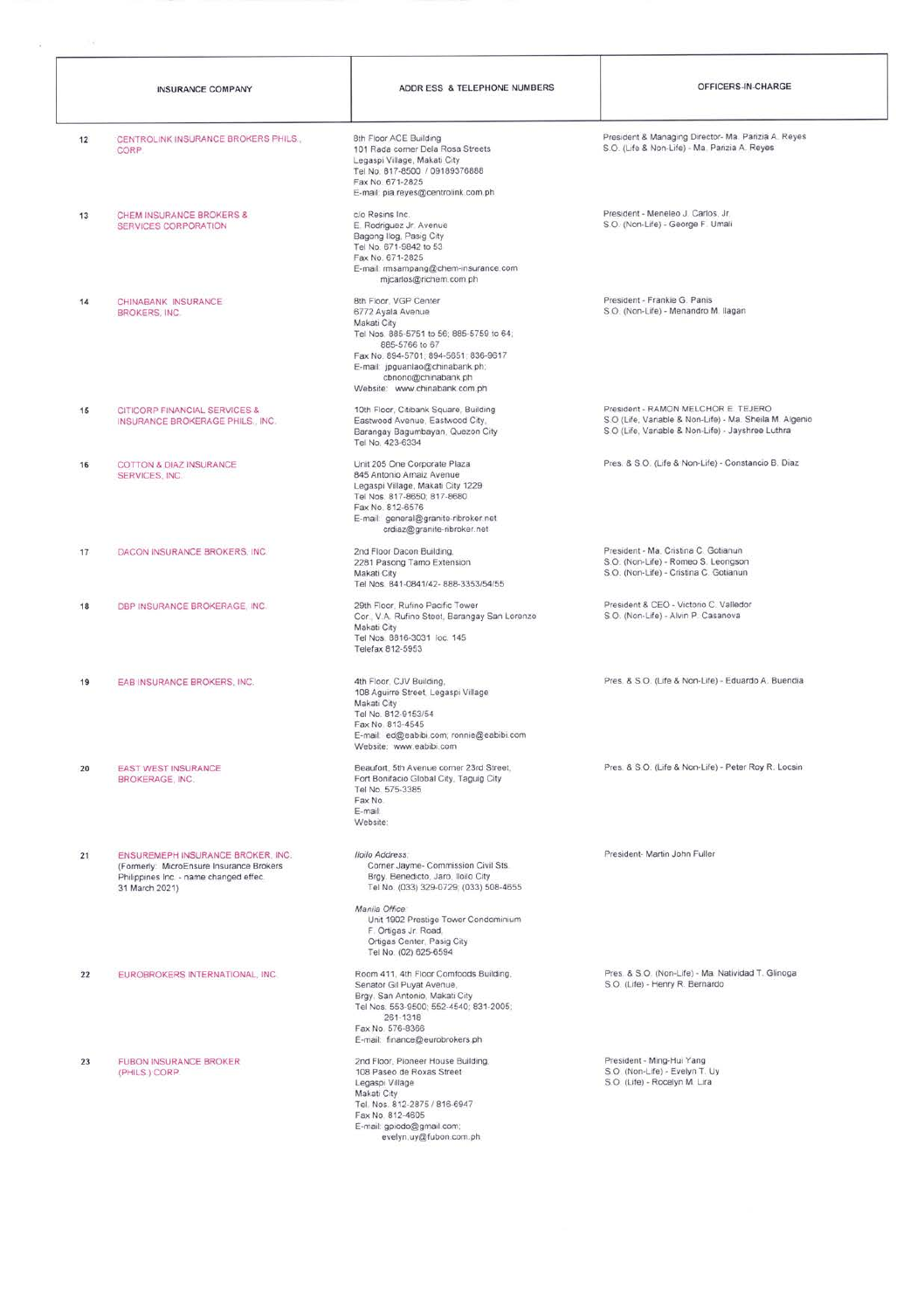|    | <b>INSURANCE COMPANY</b>                                                                                                                  | ADDR ESS & TELEPHONE NUMBERS                                                                                                                                                                                                                                | OFFICERS-IN-CHARGE                                                                                                                                  |
|----|-------------------------------------------------------------------------------------------------------------------------------------------|-------------------------------------------------------------------------------------------------------------------------------------------------------------------------------------------------------------------------------------------------------------|-----------------------------------------------------------------------------------------------------------------------------------------------------|
| 12 | CENTROLINK INSURANCE BROKERS PHILS.<br>CORP.                                                                                              | 8th Floor ACE Building<br>101 Rada corner Dela Rosa Streets<br>Legaspi Village, Makati City<br>Tel No. 817-8500 / 09189376888<br>Fax No. 671-2825<br>E-mail: pia.reyes@centrolink.com.ph                                                                    | President & Managing Director- Ma. Parizia A. Reyes<br>S.O. (Life & Non-Life) - Ma. Parizia A. Reyes                                                |
| 13 | CHEM INSURANCE BROKERS &<br>SERVICES CORPORATION                                                                                          | c/o Resins Inc.<br>E. Rodriguez Jr. Avenue<br>Bagong Ilog, Pasig City<br>Tel No. 671-9842 to 53<br>Fax No. 671-2825<br>E-mail: rmsampang@chem-insurance.com<br>mjcarlos@richem.com.ph                                                                       | President - Meneleo J. Carlos, Jr.<br>S.O. (Non-Life) - George F. Umali                                                                             |
| 14 | CHINABANK INSURANCE<br><b>BROKERS, INC.</b>                                                                                               | 8th Floor, VGP Center<br>6772 Ayala Avenue<br>Makati City<br>Tel Nos. 885-5751 to 56; 885-5759 to 64;<br>885-5766 to 67<br>Fax No. 894-5701; 894-5651; 836-9617.<br>E-mail: jpguanlao@chinabank.ph;<br>cbnono@chinabank.ph<br>Website: www.chinabank.com.ph | President - Frankie G. Panis<br>S.O. (Non-Life) - Menandro M. Ilagan                                                                                |
| 15 | CITICORP FINANCIAL SERVICES &<br>INSURANCE BROKERAGE PHILS., INC.                                                                         | 10th Floor, Citibank Square, Building<br>Eastwood Avenue, Eastwood City,<br>Barangay Bagumbayan, Quezon City<br>Tel No. 423-6334                                                                                                                            | President - RAMON MELCHOR E. TEJERO<br>S.O (Life, Variable & Non-Life) - Ma. Sheila M. Algenio<br>S.O (Life, Variable & Non-Life) - Jayshree Luthra |
| 16 | COTTON & DIAZ INSURANCE<br>SERVICES, INC.                                                                                                 | Unit 205 One Corporate Plaza<br>845 Antonio Arnaiz Avenue<br>Legaspi Village, Makati City 1229<br>Tel Nos. 817-8650; 817-8680<br>Fax No. 812-6576<br>E-mail: general@granite-ribroker.net<br>crdiaz@granite-ribroker.net                                    | Pres. & S.O. (Life & Non-Life) - Constancio B. Diaz                                                                                                 |
| 17 | DACON INSURANCE BROKERS, INC.                                                                                                             | 2nd Floor Dacon Building,<br>2281 Pasong Tamo Extension<br>Makati City<br>Tel Nos. 841-0841/42-888-3353/54/55                                                                                                                                               | President - Ma. Cristina C. Gotianun<br>S.O. (Non-Life) - Romeo S. Leongson<br>S.O. (Non-Life) - Cristina C. Gotianun                               |
| 18 | DBP INSURANCE BROKERAGE, INC.                                                                                                             | 29th Floor, Rufino Pacific Tower<br>Cor., V.A. Rufino Steet, Barangay San Lorenzo<br>Makati City<br>Tel Nos. 8816-3031 loc. 145<br>Telefax 812-5953                                                                                                         | President & CEO - Victorio C. Valledor<br>S.O. (Non-Life) - Alvin P. Casanova                                                                       |
| 19 | EAB INSURANCE BROKERS, INC.                                                                                                               | 4th Floor, CJV Building,<br>108 Aguirre Street, Legaspi Village<br>Makati City<br>Tel No. 812-9153/54<br>Fax No. 813-4545<br>E-mail: ed@eabibi.com; ronnie@eabibi.com<br>Website: www.eabibi.com                                                            | Pres. & S.O. (Life & Non-Life) - Eduardo A. Buendia                                                                                                 |
| 20 | <b>EAST WEST INSURANCE</b><br><b>BROKERAGE, INC.</b>                                                                                      | Beaufort, 5th Avenue corner 23rd Street.<br>Fort Bonifacio Global City, Taguig City<br>Tel No. 575-3385<br>Fax No.<br>E-mail:<br>Website:                                                                                                                   | Pres. & S.O. (Life & Non-Life) - Peter Roy R. Locsin                                                                                                |
| 21 | ENSUREMEPH INSURANCE BROKER, INC.<br>(Formerly: MicroEnsure Insurance Brokers<br>Philippines Inc. - name changed effec.<br>31 March 2021) | Iloilo Address<br>Corner Jayme- Commission Civil Sts.<br>Brgy. Benedicto, Jaro, Iloilo City<br>Tel No. (033) 329-0729; (033) 508-4655<br>Manila Office.<br>Unit 1902 Prestige Tower Condominium<br>F. Ortigas Jr. Road,                                     | President- Martin John Fuller                                                                                                                       |
|    |                                                                                                                                           | Ortigas Center, Pasig City<br>Tel No. (02) 625-6594                                                                                                                                                                                                         |                                                                                                                                                     |
| 22 | EUROBROKERS INTERNATIONAL, INC.                                                                                                           | Room 411, 4th Floor Comfoods Building,<br>Senator Gil Puyat Avenue,<br>Brgy. San Antonio, Makati City<br>Tel Nos. 553-9500; 552-4540; 831-2005;<br>261-1318<br>Fax No. 576-8366<br>E-mail: finance@eurobrokers.ph                                           | Pres. & S.O. (Non-Life) - Ma. Natividad T. Glinoga<br>S.O. (Life) - Henry R. Bernardo                                                               |
| 23 | <b>FUBON INSURANCE BROKER</b><br>(PHILS.) CORP.                                                                                           | 2nd Floor, Pioneer House Building,<br>108 Paseo de Roxas Street<br>Legaspi Village<br>Makati City<br>Tel. Nos. 812-2875 / 816-6947<br>Fax No. 812-4605                                                                                                      | President - Ming-Hui Yang<br>S.O. (Non-Life) - Evelyn T. Uy<br>S.O. (Life) - Rocelyn M. Lira                                                        |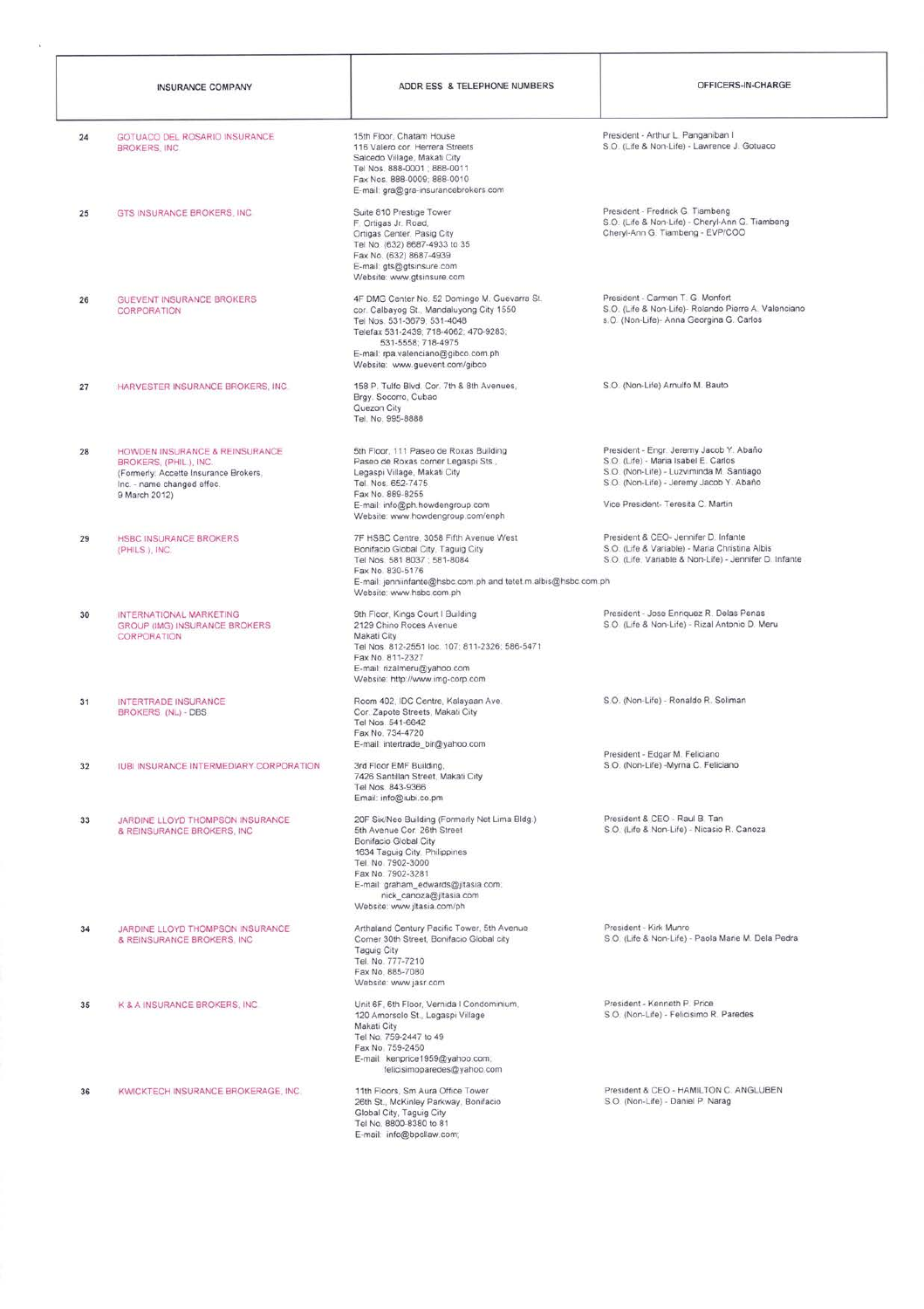|    | INSURANCE COMPANY                                                                                                                                | ADDR ESS & TELEPHONE NUMBERS                                                                                                                                                                                                                                                        | OFFICERS-IN-CHARGE                                                                                                                                                                                           |
|----|--------------------------------------------------------------------------------------------------------------------------------------------------|-------------------------------------------------------------------------------------------------------------------------------------------------------------------------------------------------------------------------------------------------------------------------------------|--------------------------------------------------------------------------------------------------------------------------------------------------------------------------------------------------------------|
| 24 | GOTUACO DEL ROSARIO INSURANCE<br>BROKERS INC.                                                                                                    | 15th Floor, Chatam House<br>116 Valero cor. Herrera Streets<br>Salcedo Village, Makati City<br>Tel Nos. 888-0001 ; 888-0011<br>Fax Nos. 888-0009; 888-0010<br>E-mail: gra@gra-insurancebrokers.com                                                                                  | President - Arthur L. Panganiban I<br>S.O. (Life & Non-Life) - Lawrence J. Gotuaco                                                                                                                           |
| 25 | GTS INSURANCE BROKERS, INC.                                                                                                                      | Suite 810 Prestige Tower<br>F. Ortigas Jr. Road,<br>Ortigas Center, Pasig City<br>Tel No. (632) 8687-4933 to 35<br>Fax No. (632) 8687-4939<br>E-mail: gts@gtsinsure.com<br>Website: www.gtsinsure.com                                                                               | President - Fredrick G. Tiambeng<br>S.O. (Life & Non-Life) - Cheryl-Ann G. Tiambeng<br>Cheryl-Ann G. Tiambeng - EVP/COO                                                                                      |
| 26 | GUEVENT INSURANCE BROKERS<br>CORPORATION                                                                                                         | 4F DMG Center No. 52 Domingo M. Guevarra St.<br>cor. Calbayog St., Mandaluyong City 1550<br>Tel Nos. 531-3679; 531-4048<br>Telefax 531-2439; 718-4062; 470-9283;<br>531-5558; 718-4975<br>E-mail: rpa.valenciano@gibco.com.ph<br>Website: www.guevent.com/gibco                     | President - Carmen T. G. Monfort<br>S.O. (Life & Non-Life)- Rolando Pierre A. Valenciano<br>s.O. (Non-Life)- Anna Georgina G. Carlos                                                                         |
| 27 | HARVESTER INSURANCE BROKERS, INC.                                                                                                                | 158 P. Tulfo Blvd. Cor. 7th & 8th Avenues,<br>Brgy. Socorro, Cubao<br>Quezon City<br>Tel. No. 995-8888                                                                                                                                                                              | S.O. (Non-Life) Arnulfo M. Bauto                                                                                                                                                                             |
| 28 | HOWDEN INSURANCE & REINSURANCE<br>BROKERS, (PHIL.), INC.<br>(Formerly: Accette Insurance Brokers,<br>Inc. - name changed effec.<br>9 March 2012) | 5th Floor, 111 Paseo de Roxas Building<br>Paseo de Roxas corner Legaspi Sts.,<br>Legaspi Village, Makati City<br>Tel. Nos. 652-7475<br>Fax No. 889-8255<br>E-mail: info@ph.howdengroup.com<br>Website: www.howdengroup.com/enph                                                     | President - Engr. Jeremy Jacob Y. Abaño<br>S.O. (Life) - Maria Isabel E. Carlos<br>S.O. (Non-Life) - Luzviminda M. Santiago<br>S.O. (Non-Life) - Jeremy Jacob Y. Abaño<br>Vice President- Teresita C. Martin |
| 29 | <b>HSBC INSURANCE BROKERS</b><br>(PHILS), INC.                                                                                                   | 7F HSBC Centre, 3058 Fifth Avenue West<br>Bonifacio Global City, Taguig City<br>Tel Nos. 581 8037 : 581-8084<br>Fax No. 830-5176<br>E-mail: jenniinfante@hsbc.com.ph and tetet.m.albis@hsbc.com.ph<br>Website: www.hsbc.com.ph                                                      | President & CEO- Jennifer D. Infante<br>S.O. (Life & Variable) - Maria Christina Albis<br>S.O. (Life, Variable & Non-Life) - Jennifer D. Infante                                                             |
| 30 | INTERNATIONAL MARKETING<br>GROUP (IMG) INSURANCE BROKERS<br><b>CORPORATION</b>                                                                   | 9th Floor, Kings Court I Building<br>2129 Chino Roces Avenue<br>Makati City<br>Tel Nos. 812-2551 loc. 107; 811-2326; 586-5471<br>Fax No. 811-2327<br>E-mail: rizalmeru@yahoo.com<br>Website: http://www.img-corp.com                                                                | President - Jose Enriquez R. Delas Penas<br>S.O. (Life & Non-Life) - Rizal Antonio D. Meru                                                                                                                   |
| 31 | INTERTRADE INSURANCE<br>BROKERS (NL) - DBS                                                                                                       | Room 402, IDC Centre, Kalayaan Ave.<br>Cor. Zapote Streets, Makati City<br>Tel Nos. 541-6642<br>Fax No. 734-4720<br>E-mail: intertrade_bir@yahoo.com                                                                                                                                | S.O. (Non-Life) - Ronaldo R. Soliman                                                                                                                                                                         |
| 32 | <b>IUBI INSURANCE INTERMEDIARY CORPORATION</b>                                                                                                   | 3rd Floor EMF Building,<br>7426 Santillan Street, Makati City<br>Tel Nos. 843-9366<br>Email: info@iubi.co.pm                                                                                                                                                                        | President - Edgar M. Feliciano<br>S.O. (Non-Life) -Myrna C. Feliciano                                                                                                                                        |
| 33 | JARDINE LLOYD THOMPSON INSURANCE<br>& REINSURANCE BROKERS, INC.                                                                                  | 20F Six/Neo Building (Formerly Net Lima Bldg.)<br>5th Avenue Cor. 26th Street<br>Bonifacio Global City<br>1634 Taguig City, Philippines<br>Tel. No. 7902-3000<br>Fax No. 7902-3281<br>E-mail: graham_edwards@jltasia.com;<br>nick_canoza@jltasia.com<br>Website: www.jltasia.com/ph | President & CEO - Raul B. Tan<br>S.O. (Life & Non-Life) - Nicasio R. Canoza                                                                                                                                  |
| 34 | JARDINE LLOYD THOMPSON INSURANCE<br>& REINSURANCE BROKERS. INC.                                                                                  | Arthaland Century Pacific Tower, 5th Avenue<br>Corner 30th Street, Bonifacio Global city<br>Taguig City<br>Tel. No. 777-7210<br>Fax No. 885-7080<br>Website: www.jasr.com                                                                                                           | President - Kirk Munro<br>S.O. (Life & Non-Life) - Paola Marie M. Dela Pedra                                                                                                                                 |
| 35 | K & A INSURANCE BROKERS, INC.                                                                                                                    | Unit 6F, 6th Floor, Vernida I Condominium,<br>120 Amorsolo St., Legaspi Village<br>Makati City<br>Tel No. 759-2447 to 49<br>Fax No. 759-2450<br>E-mail: kenpnce1959@yahoo.com;<br>felicisimoparedes@yahoo.com                                                                       | President - Kenneth P. Price<br>S.O. (Non-Life) - Felicisimo R. Paredes                                                                                                                                      |
| 36 | KWICKTECH INSURANCE BROKERAGE, INC.                                                                                                              | 11th Floors, Sm Aura Office Tower<br>26th St., McKinley Parkway, Bonifacio<br>Global City, Taguig City<br>Tel No. 8800-8380 to 81<br>E-mail: info@bpcllaw.com;                                                                                                                      | President & CEO - HAMILTON C. ANGLUBEN<br>S.O. (Non-Life) - Daniel P. Narag                                                                                                                                  |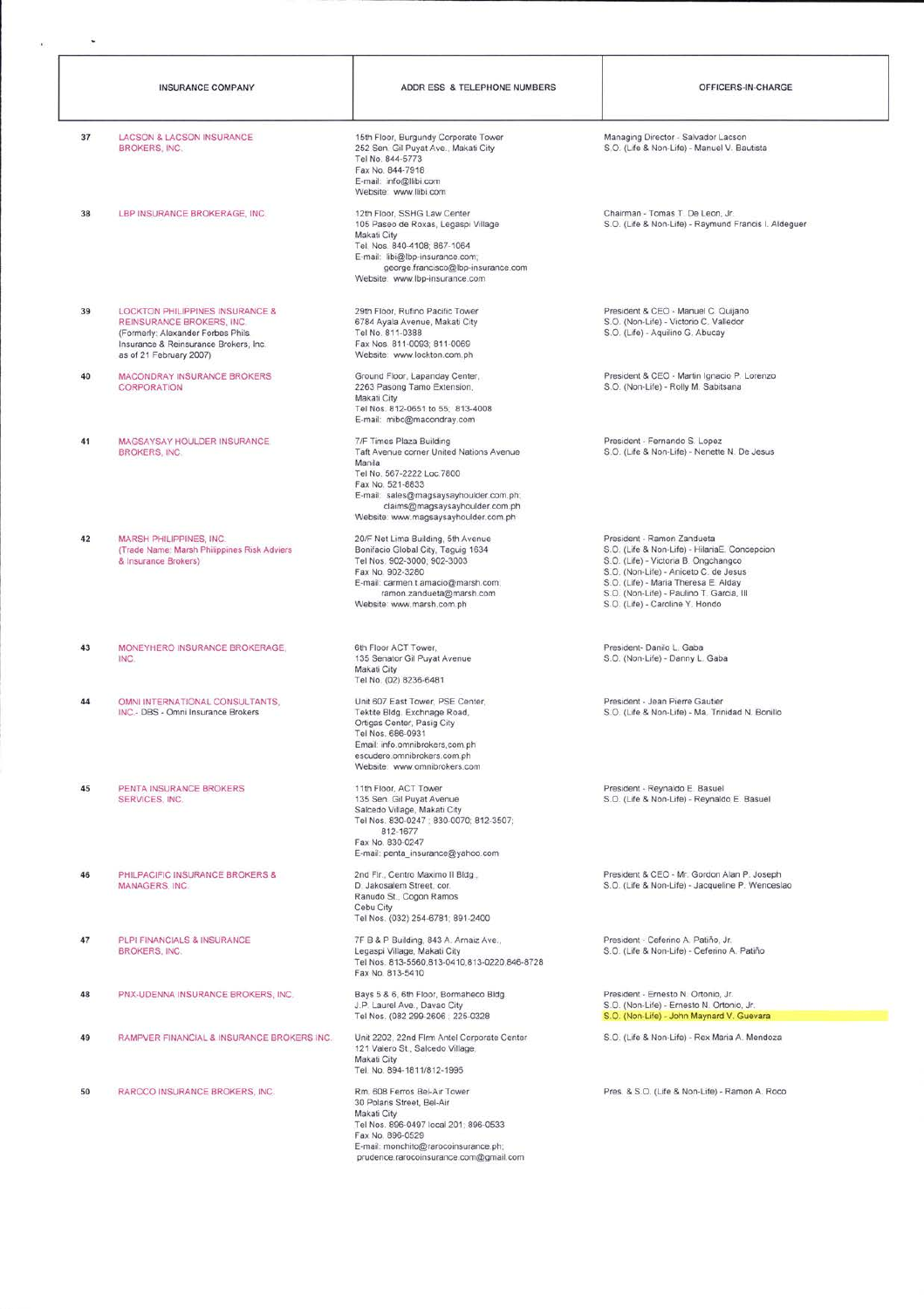|    | <b>INSURANCE COMPANY</b>                                                                                                                                               | ADDR ESS & TELEPHONE NUMBERS                                                                                                                                                                                                                         | OFFICERS-IN-CHARGE                                                                                                                                                                                                                                                                  |
|----|------------------------------------------------------------------------------------------------------------------------------------------------------------------------|------------------------------------------------------------------------------------------------------------------------------------------------------------------------------------------------------------------------------------------------------|-------------------------------------------------------------------------------------------------------------------------------------------------------------------------------------------------------------------------------------------------------------------------------------|
| 37 | LACSON & LACSON INSURANCE<br><b>BROKERS, INC.</b>                                                                                                                      | 15th Floor, Burgundy Corporate Tower<br>252 Sen. Gil Puyat Ave., Makati City<br>Tel No. 844-5773<br>Fax No. 844-7918<br>E-mail: info@llibi.com<br>Website: www.llibi.com                                                                             | Managing Director - Salvador Lacson<br>S.O. (Life & Non-Life) - Manuel V. Bautista                                                                                                                                                                                                  |
| 38 | LBP INSURANCE BROKERAGE, INC.                                                                                                                                          | 12th Floor, SSHG Law Center<br>105 Paseo de Roxas, Legaspi Village<br>Makati City<br>Tel. Nos. 840-4108; 867-1064<br>E-mail: libi@lbp-insurance.com;<br>george.francisco@lbp-insurance.com<br>Website: www.lbp-insurance.com                         | Chairman - Tomas T. De Leon, Jr.<br>S.O. (Life & Non-Life) - Raymund Francis I. Aldeguer                                                                                                                                                                                            |
| 39 | LOCKTON PHILIPPINES INSURANCE &<br>REINSURANCE BROKERS, INC.<br>(Formerly: Alexander Forbes Phils.<br>Insurance & Reinsurance Brokers, Inc.<br>as of 21 February 2007) | 29th Floor, Rufino Pacific Tower<br>6784 Ayala Avenue, Makati City<br>Tel No. 811-0388<br>Fax Nos. 811-0093; 811-0069<br>Website: www.lockton.com.ph                                                                                                 | President & CEO - Manuel C. Quijano<br>S.O. (Non-Life) - Victorio C. Valledor<br>S.O. (Life) - Aquilino G. Abucay                                                                                                                                                                   |
| 40 | MACONDRAY INSURANCE BROKERS<br>CORPORATION                                                                                                                             | Ground Floor, Lapanday Center,<br>2263 Pasong Tamo Extension.<br>Makati City<br>Tel Nos. 812-0651 to 55; 813-4008<br>E-mail: mibc@macondray.com                                                                                                      | President & CEO - Martin Ignacio P. Lorenzo<br>S.O. (Non-Life) - Rolly M. Sabitsana                                                                                                                                                                                                 |
| 41 | MAGSAYSAY HOULDER INSURANCE.<br><b>BROKERS, INC.</b>                                                                                                                   | 7/F Times Plaza Building<br>Taft Avenue corner United Nations Avenue<br>Manila<br>Tel No. 567-2222 Loc. 7800<br>Fax No. 521-8833<br>E-mail: sales@magsaysayhoulder.com.ph;<br>claims@magsaysayhoulder.com.ph<br>Website: www.magsaysayhoulder.com.ph | President - Fernando S. Lopez<br>S.O. (Life & Non-Life) - Nenette N. De Jesus                                                                                                                                                                                                       |
| 42 | MARSH PHILIPPINES, INC.<br>(Trade Name: Marsh Philippines Risk Adviers<br>& Insurance Brokers)                                                                         | 20/F Net Lima Building, 5th Avenue<br>Bonifacio Global City, Taguig 1634<br>Tel Nos. 902-3000; 902-3003<br>Fax No. 902-3280<br>E-mail: carmen.t.amacio@marsh.com;<br>ramon.zandueta@marsh.com<br>Website: www.marsh.com.ph                           | President - Ramon Zandueta<br>S.O. (Life & Non-Life) - HilariaE. Concepcion<br>S.O. (Life) - Victoria B. Ongchangco<br>S.O. (Non-Life) - Aniceto C. de Jesus<br>S.O. (Life) - Maria Theresa E. Alday<br>S.O. (Non-Life) - Paulino T. Garcia, III<br>S.O. (Life) - Caroline Y. Hondo |
| 43 | MONEYHERO INSURANCE BROKERAGE.<br>INC.                                                                                                                                 | 6th Floor ACT Tower,<br>135 Senator Gil Puyat Avenue<br>Makati City<br>Tel No. (02) 8236-6481                                                                                                                                                        | President- Danilo L. Gaba<br>S.O. (Non-Life) - Danny L. Gaba                                                                                                                                                                                                                        |
| 44 | OMNI INTERNATIONAL CONSULTANTS.<br>INC.- DBS - Omni Insurance Brokers                                                                                                  | Unit 607 East Tower, PSE Center,<br>Tektite Bldg. Exchnage Road,<br>Ortigas Center, Pasig City<br>Tel Nos. 686-0931<br>Email: info.omnibrokers.com.ph<br>escudero.omnibrokers.com.ph<br>Website: www.omnibrokers.com                                 | President - Jean Pierre Gautier<br>S.O. (Life & Non-Life) - Ma. Trinidad N. Bonillo                                                                                                                                                                                                 |
| 45 | PENTA INSURANCE BROKERS<br>SERVICES, INC.                                                                                                                              | 11th Floor, ACT Tower<br>135 Sen. Gil Puyat Avenue<br>Salcedo Village, Makati City<br>Tel Nos. 830-0247 : 830-0070: 812-3507:<br>812-1677<br>Fax No. 830-0247<br>E-mail: penta_insurance@yahoo.com                                                   | President - Reynaldo E. Basuel<br>S.O. (Life & Non-Life) - Reynaldo E. Basuel                                                                                                                                                                                                       |
| 46 | PHILPACIFIC INSURANCE BROKERS &<br><b>MANAGERS, INC.</b>                                                                                                               | 2nd Flr., Centro Maximo II Bldg.,<br>D. Jakosalem Street, cor.<br>Ranudo St., Cogon Ramos<br>Cebu City<br>Tel Nos. (032) 254-6781; 891-2400                                                                                                          | President & CEO - Mr. Gordon Alan P. Joseph<br>S.O. (Life & Non-Life) - Jacqueline P. Wenceslao                                                                                                                                                                                     |
| 47 | PLPI FINANCIALS & INSURANCE<br><b>BROKERS, INC.</b>                                                                                                                    | 7F B & P Building, 843 A. Arnaiz Ave.,<br>Legaspi Village, Makati City<br>Tel Nos. 813-5560,813-0410,813-0220,846-8728<br>Fax No. 813-5410                                                                                                           | President - Ceferino A. Patiño, Jr.<br>S.O. (Life & Non-Life) - Ceferino A. Patiño                                                                                                                                                                                                  |
| 48 | PNX-UDENNA INSURANCE BROKERS, INC.                                                                                                                                     | Bays 5 & 6, 6th Floor, Bormaheco Bidg.<br>J.P. Laurel Ave., Davao City<br>Tel Nos. (082 299-2606 ; 225-0328                                                                                                                                          | President - Ernesto N. Ortonio, Jr.<br>S.O. (Non-Life) - Ernesto N. Ortonio, Jr.<br>S.O. (Non-Life) - John Maynard V. Guevara                                                                                                                                                       |
| 49 | RAMPVER FINANCIAL & INSURANCE BROKERS INC.                                                                                                                             | Unit 2202, 22nd Flrm Antel Corporate Center<br>121 Valero St., Salcedo Village,<br>Makati City<br>Tel. No. 894-1811/812-1995                                                                                                                         | S.O. (Life & Non-Life) - Rex Maria A. Mendoza                                                                                                                                                                                                                                       |
| 50 | RAROCO INSURANCE BROKERS, INC.                                                                                                                                         | Rm. 608 Ferros Bel-Air Tower<br>30 Polaris Street, Bel-Air<br>Makati City<br>Tel Nos. 896-0497 local 201; 896-0533<br>Fax No. 896-0529<br>E-mail: monchito@rarocoinsurance.ph;<br>prudence.rarocoinsurance.com@gmail.com                             | Pres. & S.O. (Life & Non-Life) - Ramon A. Roco                                                                                                                                                                                                                                      |

 $\sim$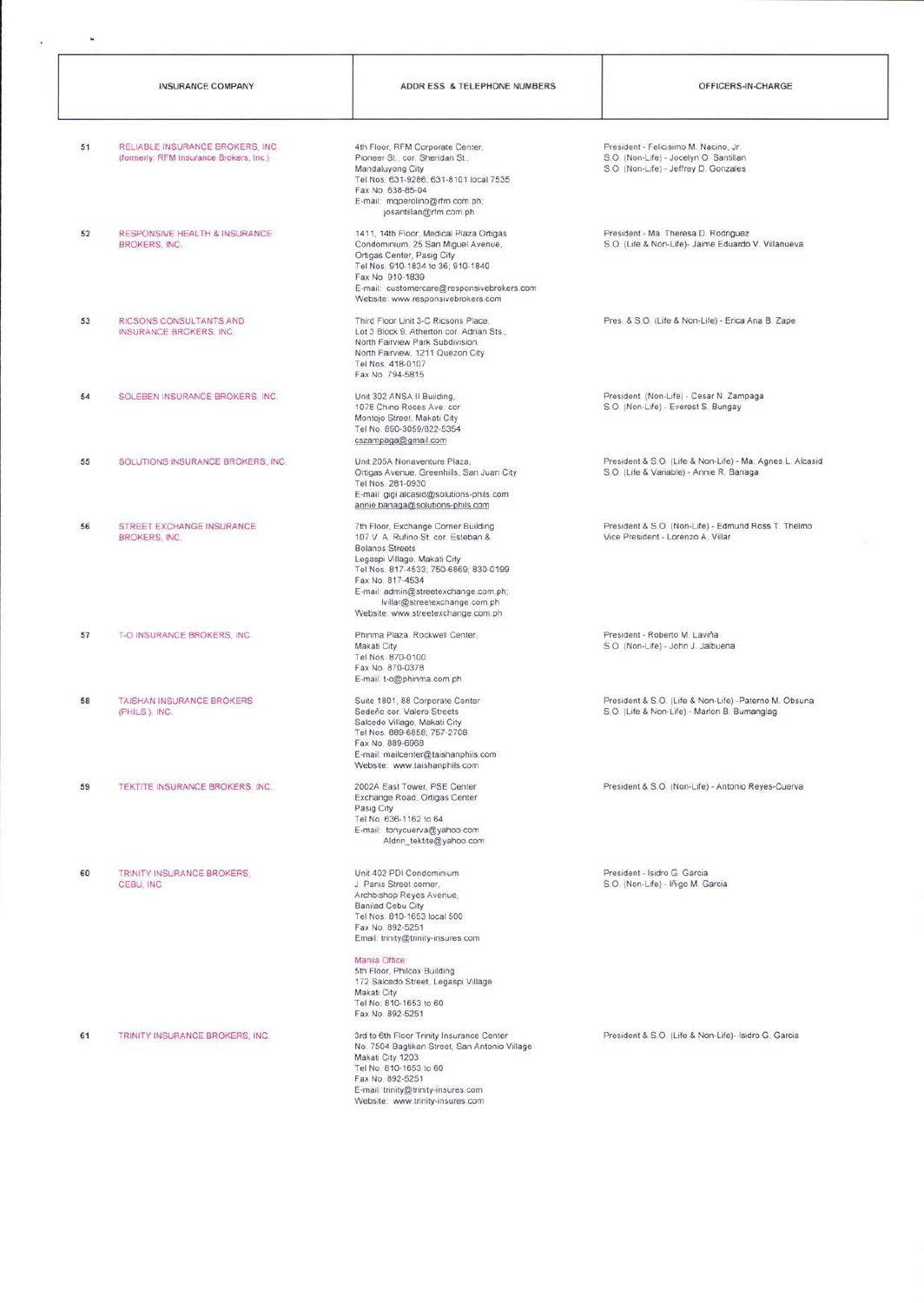|    | <b>INSURANCE COMPANY</b>                                                    | ADDR ESS & TELEPHONE NUMBERS                                                                                                                                                                                                                                                                                                                      | OFFICERS-IN-CHARGE                                                                                                       |
|----|-----------------------------------------------------------------------------|---------------------------------------------------------------------------------------------------------------------------------------------------------------------------------------------------------------------------------------------------------------------------------------------------------------------------------------------------|--------------------------------------------------------------------------------------------------------------------------|
| 51 | RELIABLE INSURANCE BROKERS, INC.<br>(formerly: RFM Insurance Brokers, Inc.) | 4th Floor, RFM Corporate Center,<br>Pioneer St., cor. Sheridan St.,<br>Mandaluyong City<br>Tel Nos. 631-9286; 631-8101 local 7535<br>Fax No. 638-85-04<br>E-mail: mqperolino@rfm.com.ph;<br>josantillan@rfm.com.ph                                                                                                                                | President - Felicisimo M. Nacino, Jr.<br>S.O. (Non-Life) - Jocelyn O. Santillan<br>S.O. (Non-Life) - Jeffrey D. Gonzales |
| 52 | RESPONSIVE HEALTH & INSURANCE<br><b>BROKERS, INC.</b>                       | 1411, 14th Floor, Medical Plaza Ortigas<br>Condominium, 25 San Miguel Avenue,<br>Ortigas Center, Pasig City<br>Tel Nos. 910-1834 to 36; 910-1840<br>Fax No. 910-1839<br>E-mail: customercare@responsivebrokers.com<br>Website: www.responsivebrokers.com                                                                                          | President - Ma. Theresa D. Rodriguez<br>S.O. (Life & Non-Life)- Jaime Eduardo V. Villanueva                              |
| 53 | RICSONS CONSULTANTS AND<br>INSURANCE BROKERS, INC.                          | Third Floor Unit 3-C Ricsons Place.<br>Lot 3 Block 9, Atherton cor. Adrian Sts.,<br>North Fairview Park Subdivision.<br>North Fairview, 1211 Quezon City<br>Tel Nos. 418-0107<br>Fax No 794-5815                                                                                                                                                  | Pres. & S.O. (Life & Non-Life) - Erica Ana B. Zape                                                                       |
| 54 | SOLEBEN INSURANCE BROKERS, INC.                                             | Unit 302 ANSA Il Building,<br>1078 Chino Roces Ave. cor.<br>Montojo Street, Makati City<br>Tel No. 890-3059/822-5354<br>cszampaga@gmail.com                                                                                                                                                                                                       | President (Non-Life) - Cesar N. Zampaga<br>S.O. (Non-Life) - Everest S. Bungay                                           |
| 55 | SOLUTIONS INSURANCE BROKERS, INC.                                           | Unit 205A Nonaventure Plaza,<br>Ortigas Avenue, Greenhills, San Juan City<br>Tel Nos. 281-0930<br>E-mail: gigi alcasid@solutions-phils.com<br>annie.banaga@solutions-phils.com                                                                                                                                                                    | President & S.O. (Life & Non-Life) - Ma. Agnes L. Alcasid<br>S.O. (Life & Variable) - Annie R. Banaga                    |
| 56 | STREET EXCHANGE INSURANCE<br><b>BROKERS, INC.</b>                           | 7th Floor, Exchange Corner Building<br>107 V. A. Rufino St. cor. Esteban &<br><b>Bolanos Streets</b><br>Legaspi Village, Makati City<br>Tel Nos. 817-4533; 750-6869; 830-0199.<br>Fax No. 817-4534<br>E-mail: admin@streetexchange.com.ph;<br>lvillar@streetexchange.com.ph<br>Website: www.streetexchange.com.ph                                 | President & S.O. (Non-Life) - Edmund Ross T. Thelmo<br>Vice President - Lorenzo A. Villar                                |
| 57 | T-O INSURANCE BROKERS, INC.                                                 | Phinma Plaza, Rockwell Center,<br>Makati City<br>Tel Nos. 870-0100<br>Fax No. 870-0378<br>E-mail: t-o@phinma.com.ph                                                                                                                                                                                                                               | President - Roberto M. Laviña<br>S.O. (Non-Life) - John J. Jalbuena                                                      |
| 58 | TAISHAN INSURANCE BROKERS<br>(PHILS.), INC.                                 | Suite 1801, 88 Corporate Center<br>Sedeño cor. Valero Streets<br>Salcedo Village, Makati City<br>Tel Nos. 889-6858; 757-2708<br>Fax No. 889-6968<br>E-mail: mailcenter@taishanphils.com<br>Website: www.taishanphils.com                                                                                                                          | President & S.O. (Life & Non-Life) -Paterno M. Obsuna<br>S.O. (Life & Non-Life) - Marlon B. Bumanglag                    |
| 59 | TEKTITE INSURANCE BROKERS, INC.                                             | 2002A East Tower, PSE Center<br>Exchange Road, Ortigas Center<br>Pasig City<br>Tel No. 636-1162 to 64<br>E-mail: tonycuerva@yahoo.com<br>Aldrin_tektite@yahoo.com                                                                                                                                                                                 | President & S.O. (Non-Life) - Antonio Reyes-Cuerva                                                                       |
| 60 | TRINITY INSURANCE BROKERS.<br>CEBU, INC.                                    | Unit 402 PDI Condominium<br>J Panis Street corner.<br>Archbishop Reyes Avenue.<br>Banilad Cebu City<br>Tel Nos. 810-1653 local 500<br>Fax No. 892-5251<br>Email: trinity@trinity-insures.com<br>Manila Office:<br>5th Floor, Philcox Building<br>172 Salcedo Street, Legaspi Village<br>Makati City<br>Tel No. 810-1653 to 60<br>Fax No. 892-5251 | President - Isidro G. Garcia<br>S.O. (Non-Life) - Iñigo M. Garcia                                                        |
| 61 | TRINITY INSURANCE BROKERS, INC.                                             | 3rd to 6th Floor Trinity Insurance Center<br>No. 7504 Bagtikan Street, San Antonio Village<br>Makati City 1203<br>Tel No. 810-1653 to 60<br>Fax No. 892-5251<br>E-mail: trinity@trinity-insures.com<br>Website: www.trinity-insures.com                                                                                                           | President & S.O. (Life & Non-Life)- Isidro G. Garcia                                                                     |

 $\mathbf{s}$ 

i,